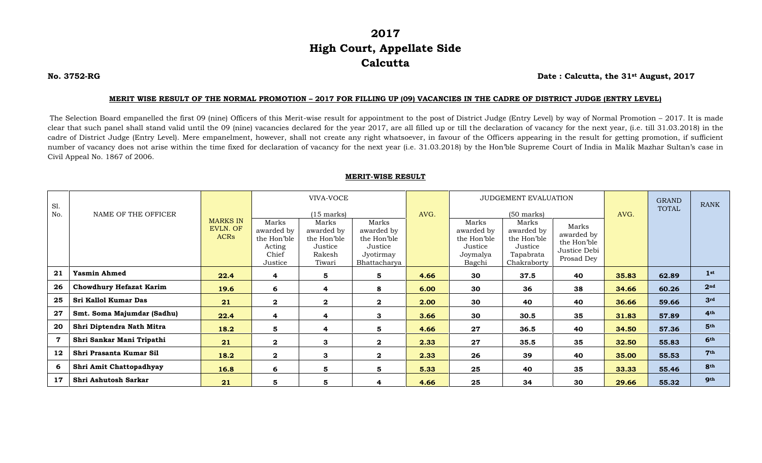## **2017 High Court, Appellate Side Calcutta**

**No. 3752-RG Date : Calcutta, the 31st August, 2017**

## **MERIT WISE RESULT OF THE NORMAL PROMOTION – 2017 FOR FILLING UP (09) VACANCIES IN THE CADRE OF DISTRICT JUDGE (ENTRY LEVEL)**

The Selection Board empanelled the first 09 (nine) Officers of this Merit-wise result for appointment to the post of District Judge (Entry Level) by way of Normal Promotion – 2017. It is made clear that such panel shall stand valid until the 09 (nine) vacancies declared for the year 2017, are all filled up or till the declaration of vacancy for the next year, (i.e. till 31.03.2018) in the cadre of District Judge (Entry Level). Mere empanelment, however, shall not create any right whatsoever, in favour of the Officers appearing in the result for getting promotion, if sufficient number of vacancy does not arise within the time fixed for declaration of vacancy for the next year (i.e. 31.03.2018) by the Hon'ble Supreme Court of India in Malik Mazhar Sultan's case in Civil Appeal No. 1867 of 2006.

## **MERIT-WISE RESULT**

| Sl.<br>No.  | NAME OF THE OFFICER            |                                            | VIVA-VOCE<br>$(15 \text{ marks})$                                |                                                                   |                                                                            | AVG. | JUDGEMENT EVALUATION<br>$(50 \text{ marks})$                        |                                                                           |                                                                  | AVG.  | <b>GRAND</b><br><b>TOTAL</b> | <b>RANK</b>     |
|-------------|--------------------------------|--------------------------------------------|------------------------------------------------------------------|-------------------------------------------------------------------|----------------------------------------------------------------------------|------|---------------------------------------------------------------------|---------------------------------------------------------------------------|------------------------------------------------------------------|-------|------------------------------|-----------------|
|             |                                | <b>MARKS IN</b><br>EVLN. OF<br><b>ACRs</b> | Marks<br>awarded by<br>the Hon'ble<br>Acting<br>Chief<br>Justice | Marks<br>awarded by<br>the Hon'ble<br>Justice<br>Rakesh<br>Tiwari | Marks<br>awarded by<br>the Hon'ble<br>Justice<br>Jyotirmay<br>Bhattacharya |      | Marks<br>awarded by<br>the Hon'ble<br>Justice<br>Joymalya<br>Bagchi | Marks<br>awarded by<br>the Hon'ble<br>Justice<br>Tapabrata<br>Chakraborty | Marks<br>awarded by<br>the Hon'ble<br>Justice Debi<br>Prosad Dey |       |                              |                 |
| 21          | <b>Yasmin Ahmed</b>            | 22.4                                       | 4                                                                | 5                                                                 | 5                                                                          | 4.66 | 30                                                                  | 37.5                                                                      | 40                                                               | 35.83 | 62.89                        | 1 <sup>st</sup> |
| 26          | <b>Chowdhury Hefazat Karim</b> | 19.6                                       | 6                                                                | 4                                                                 | 8                                                                          | 6.00 | 30                                                                  | 36                                                                        | 38                                                               | 34.66 | 60.26                        | 2 <sup>nd</sup> |
| 25          | Sri Kallol Kumar Das           | 21                                         | $\boldsymbol{2}$                                                 | $\boldsymbol{2}$                                                  | $\mathbf{2}$                                                               | 2.00 | 30                                                                  | 40                                                                        | 40                                                               | 36.66 | 59.66                        | 3 <sup>rd</sup> |
| 27          | Smt. Soma Majumdar (Sadhu)     | 22.4                                       | 4                                                                | 4                                                                 | 3                                                                          | 3.66 | 30                                                                  | 30.5                                                                      | 35                                                               | 31.83 | 57.89                        | 4 <sup>th</sup> |
| 20          | Shri Diptendra Nath Mitra      | 18.2                                       | 5                                                                | 4                                                                 | 5                                                                          | 4.66 | 27                                                                  | 36.5                                                                      | 40                                                               | 34.50 | 57.36                        | 5 <sup>th</sup> |
| $\mathbf 7$ | Shri Sankar Mani Tripathi      | 21                                         | $\mathbf{2}$                                                     | 3                                                                 | $\mathbf{2}$                                                               | 2.33 | 27                                                                  | 35.5                                                                      | 35                                                               | 32.50 | 55.83                        | 6th             |
| 12          | Shri Prasanta Kumar Sil        | 18.2                                       | $\mathbf{2}$                                                     | 3                                                                 | $\mathbf{2}$                                                               | 2.33 | 26                                                                  | 39                                                                        | 40                                                               | 35.00 | 55.53                        | 7 <sup>th</sup> |
| 6           | Shri Amit Chattopadhyay        | 16.8                                       | 6                                                                | 5                                                                 | 5                                                                          | 5.33 | 25                                                                  | 40                                                                        | 35                                                               | 33.33 | 55.46                        | 8th             |
| 17          | Shri Ashutosh Sarkar           | 21                                         | 5                                                                | 5                                                                 | 4                                                                          | 4.66 | 25                                                                  | 34                                                                        | 30                                                               | 29.66 | 55.32                        | <b>9th</b>      |